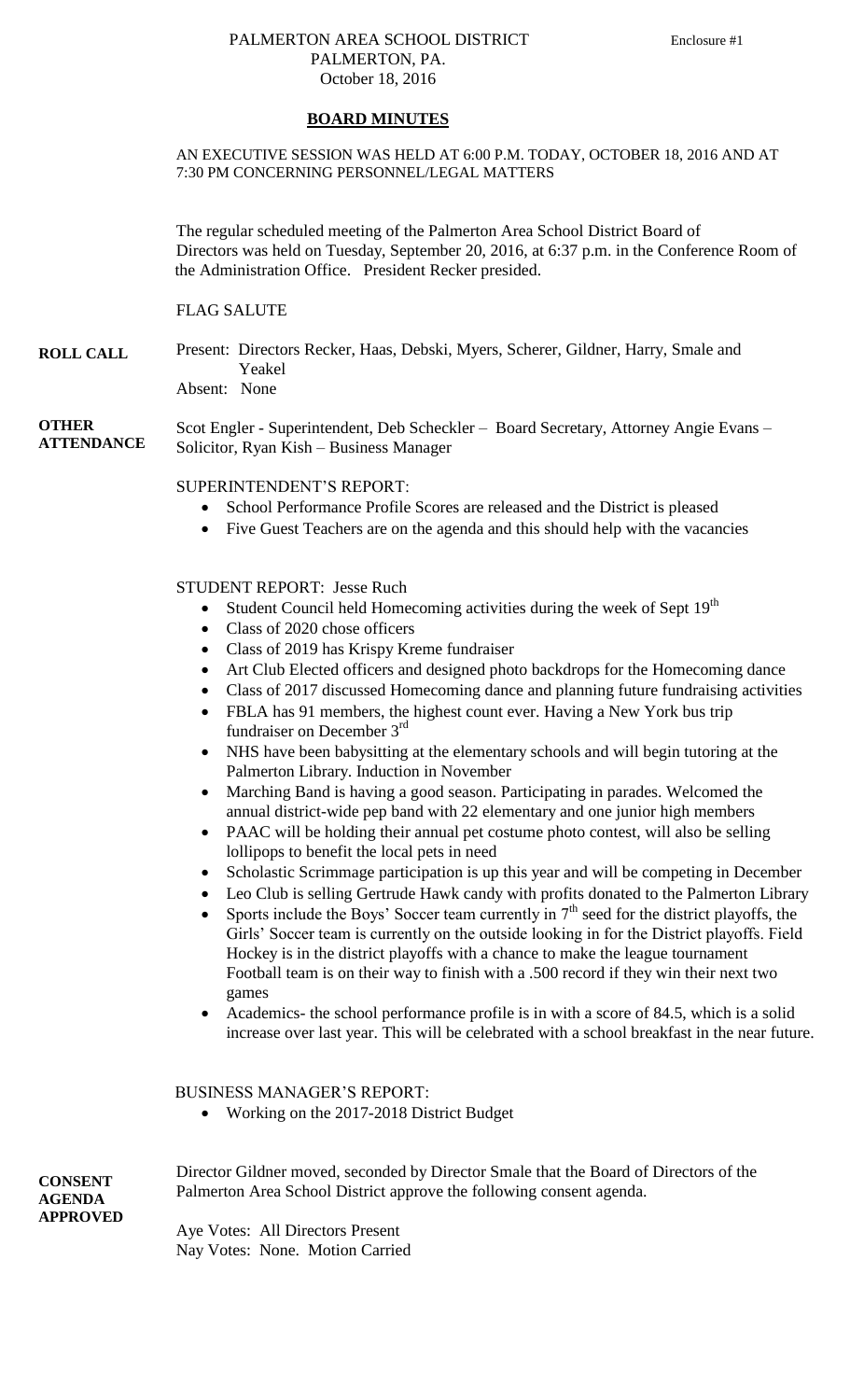#### PALMERTON AREA SCHOOL DISTRICT Enclosure #1 PALMERTON, PA. October 18, 2016

#### **BOARD MINUTES**

#### AN EXECUTIVE SESSION WAS HELD AT 6:00 P.M. TODAY, OCTOBER 18, 2016 AND AT 7:30 PM CONCERNING PERSONNEL/LEGAL MATTERS

The regular scheduled meeting of the Palmerton Area School District Board of Directors was held on Tuesday, September 20, 2016, at 6:37 p.m. in the Conference Room of the Administration Office. President Recker presided.

#### FLAG SALUTE

**ROLL CALL** Present: Directors Recker, Haas, Debski, Myers, Scherer, Gildner, Harry, Smale and Yeakel Absent: None

**OTHER ATTENDANCE** Scot Engler - Superintendent, Deb Scheckler – Board Secretary, Attorney Angie Evans – Solicitor, Ryan Kish – Business Manager

### SUPERINTENDENT'S REPORT:

- School Performance Profile Scores are released and the District is pleased
- Five Guest Teachers are on the agenda and this should help with the vacancies

#### STUDENT REPORT: Jesse Ruch

- Student Council held Homecoming activities during the week of Sept 19<sup>th</sup>
- Class of 2020 chose officers
- Class of 2019 has Krispy Kreme fundraiser
- Art Club Elected officers and designed photo backdrops for the Homecoming dance
- Class of 2017 discussed Homecoming dance and planning future fundraising activities
- FBLA has 91 members, the highest count ever. Having a New York bus trip fundraiser on December 3rd
- NHS have been babysitting at the elementary schools and will begin tutoring at the Palmerton Library. Induction in November
- Marching Band is having a good season. Participating in parades. Welcomed the annual district-wide pep band with 22 elementary and one junior high members
- PAAC will be holding their annual pet costume photo contest, will also be selling lollipops to benefit the local pets in need
- Scholastic Scrimmage participation is up this year and will be competing in December
- Leo Club is selling Gertrude Hawk candy with profits donated to the Palmerton Library
- Sports include the Boys' Soccer team currently in 7<sup>th</sup> seed for the district playoffs, the Girls' Soccer team is currently on the outside looking in for the District playoffs. Field Hockey is in the district playoffs with a chance to make the league tournament Football team is on their way to finish with a .500 record if they win their next two games
- Academics- the school performance profile is in with a score of 84.5, which is a solid increase over last year. This will be celebrated with a school breakfast in the near future.

#### BUSINESS MANAGER'S REPORT:

Working on the 2017-2018 District Budget

**CONSENT AGENDA APPROVED** Director Gildner moved, seconded by Director Smale that the Board of Directors of the Palmerton Area School District approve the following consent agenda.

Aye Votes: All Directors Present Nay Votes: None. Motion Carried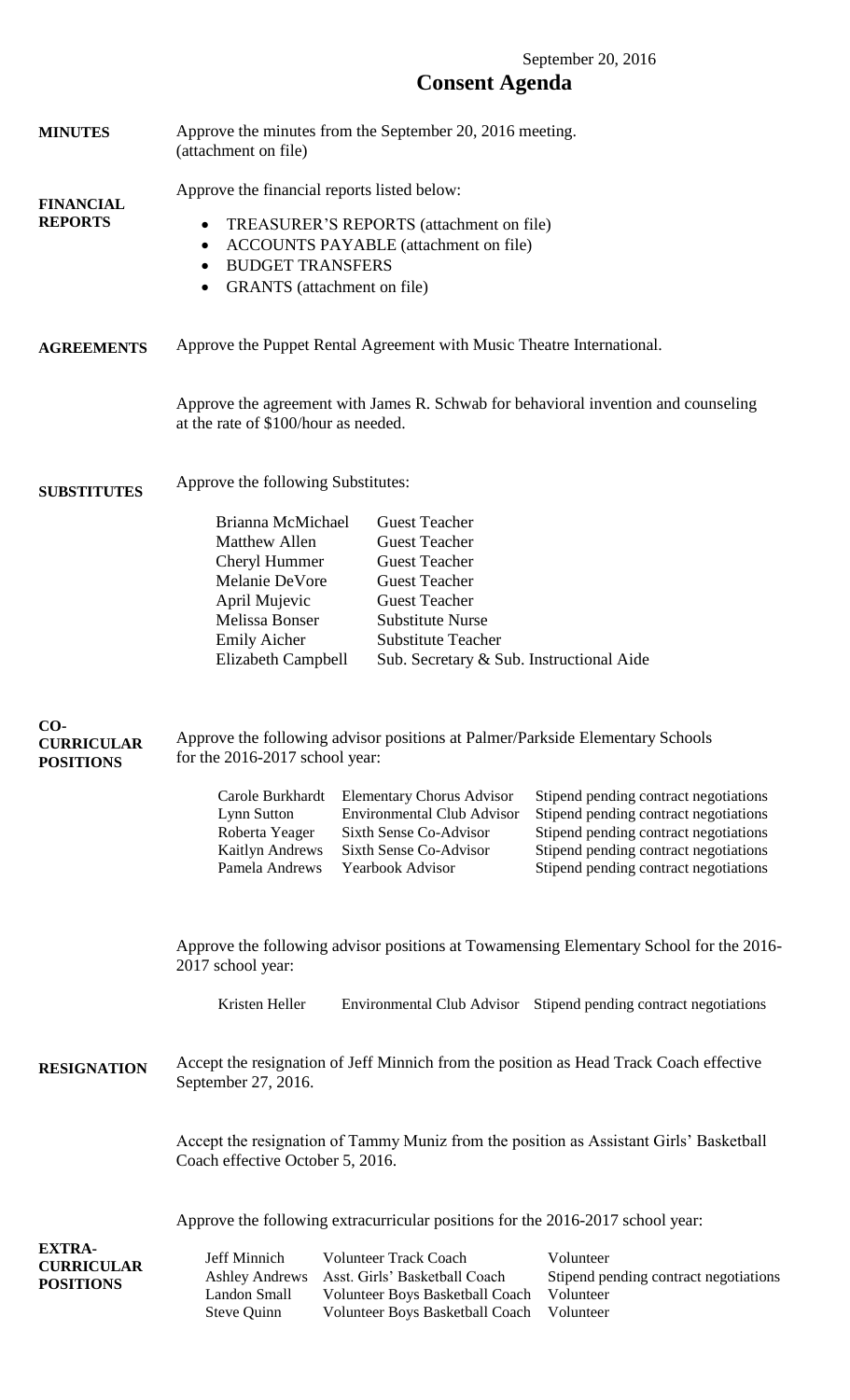# September 20, 2016 **Consent Agenda**

| <b>MINUTES</b>                                         | Approve the minutes from the September 20, 2016 meeting.<br>(attachment on file)                                                                                                                                                                                                                                                                                                                                                                                                                                                                                                                                                                                                                                                                                                                                                                                                                                                                             |  |
|--------------------------------------------------------|--------------------------------------------------------------------------------------------------------------------------------------------------------------------------------------------------------------------------------------------------------------------------------------------------------------------------------------------------------------------------------------------------------------------------------------------------------------------------------------------------------------------------------------------------------------------------------------------------------------------------------------------------------------------------------------------------------------------------------------------------------------------------------------------------------------------------------------------------------------------------------------------------------------------------------------------------------------|--|
| <b>FINANCIAL</b><br><b>REPORTS</b>                     | Approve the financial reports listed below:<br>TREASURER'S REPORTS (attachment on file)<br>$\bullet$<br><b>ACCOUNTS PAYABLE</b> (attachment on file)<br>$\bullet$<br><b>BUDGET TRANSFERS</b><br>$\bullet$<br><b>GRANTS</b> (attachment on file)<br>٠                                                                                                                                                                                                                                                                                                                                                                                                                                                                                                                                                                                                                                                                                                         |  |
| <b>AGREEMENTS</b>                                      | Approve the Puppet Rental Agreement with Music Theatre International.                                                                                                                                                                                                                                                                                                                                                                                                                                                                                                                                                                                                                                                                                                                                                                                                                                                                                        |  |
|                                                        | Approve the agreement with James R. Schwab for behavioral invention and counseling<br>at the rate of \$100/hour as needed.                                                                                                                                                                                                                                                                                                                                                                                                                                                                                                                                                                                                                                                                                                                                                                                                                                   |  |
| <b>SUBSTITUTES</b>                                     | Approve the following Substitutes:                                                                                                                                                                                                                                                                                                                                                                                                                                                                                                                                                                                                                                                                                                                                                                                                                                                                                                                           |  |
| CO-<br><b>CURRICULAR</b><br><b>POSITIONS</b>           | Brianna McMichael<br><b>Guest Teacher</b><br>Matthew Allen<br><b>Guest Teacher</b><br><b>Guest Teacher</b><br>Cheryl Hummer<br>Melanie DeVore<br><b>Guest Teacher</b><br><b>Guest Teacher</b><br>April Mujevic<br>Melissa Bonser<br><b>Substitute Nurse</b><br><b>Emily Aicher</b><br><b>Substitute Teacher</b><br>Elizabeth Campbell<br>Sub. Secretary & Sub. Instructional Aide<br>Approve the following advisor positions at Palmer/Parkside Elementary Schools<br>for the 2016-2017 school year:<br>Carole Burkhardt<br>Stipend pending contract negotiations<br><b>Elementary Chorus Advisor</b><br><b>Environmental Club Advisor</b><br>Stipend pending contract negotiations<br>Lynn Sutton<br>Stipend pending contract negotiations<br>Roberta Yeager<br>Sixth Sense Co-Advisor<br>Kaitlyn Andrews<br>Stipend pending contract negotiations<br>Sixth Sense Co-Advisor<br>Pamela Andrews<br>Stipend pending contract negotiations<br>Yearbook Advisor |  |
| <b>RESIGNATION</b>                                     | Approve the following advisor positions at Towamensing Elementary School for the 2016-<br>2017 school year:<br>Kristen Heller<br>Environmental Club Advisor Stipend pending contract negotiations<br>Accept the resignation of Jeff Minnich from the position as Head Track Coach effective<br>September 27, 2016.<br>Accept the resignation of Tammy Muniz from the position as Assistant Girls' Basketball<br>Coach effective October 5, 2016.                                                                                                                                                                                                                                                                                                                                                                                                                                                                                                             |  |
| <b>EXTRA-</b><br><b>CURRICULAR</b><br><b>POSITIONS</b> | Approve the following extracurricular positions for the 2016-2017 school year:<br>Jeff Minnich<br><b>Volunteer Track Coach</b><br>Volunteer<br><b>Ashley Andrews</b><br>Asst. Girls' Basketball Coach<br>Stipend pending contract negotiations<br>Volunteer<br><b>Landon Small</b><br>Volunteer Boys Basketball Coach<br>Volunteer<br><b>Steve Quinn</b><br>Volunteer Boys Basketball Coach                                                                                                                                                                                                                                                                                                                                                                                                                                                                                                                                                                  |  |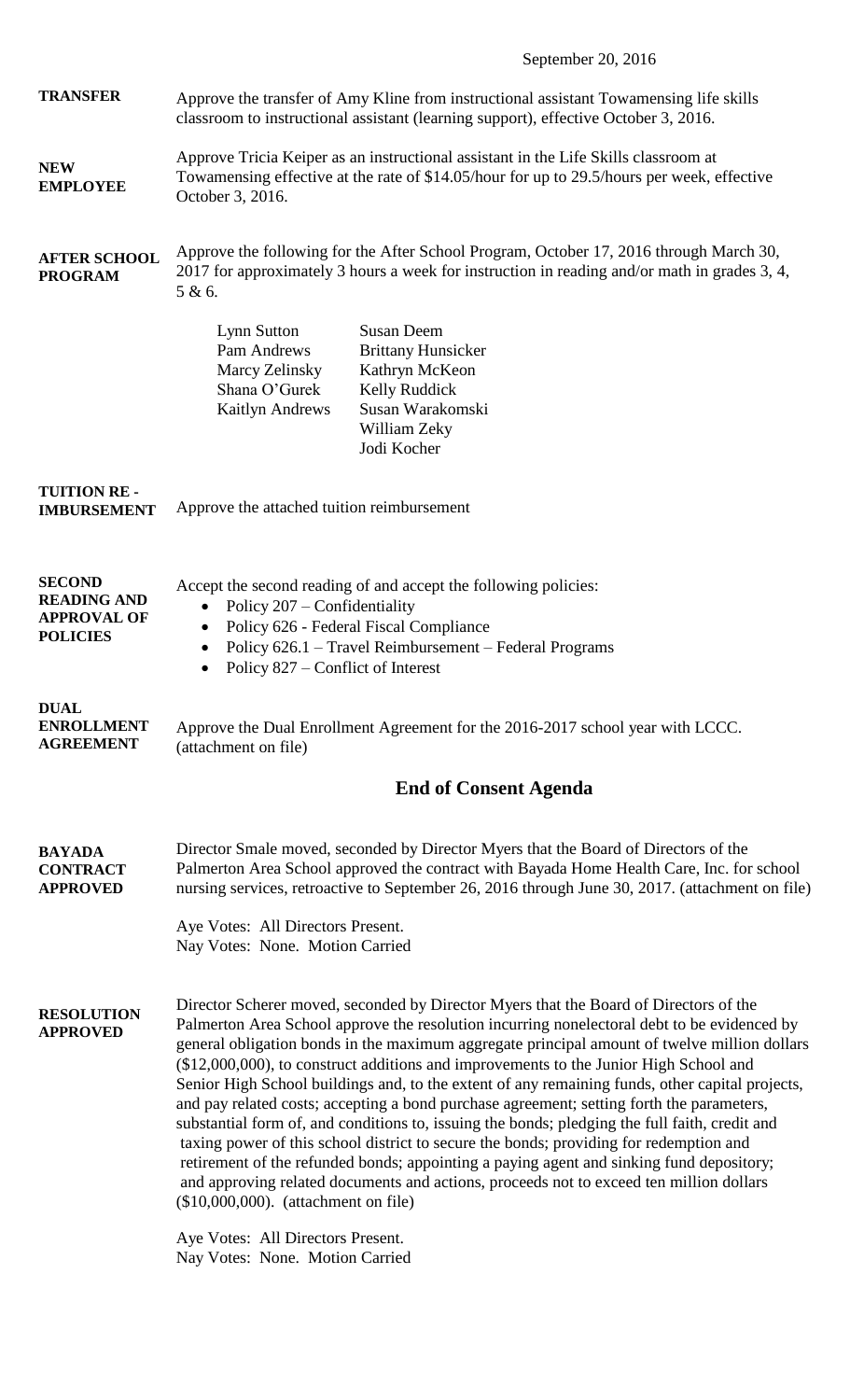|                                                                              | September 20, 2016                                                                                                                                                                                                                                                                                                                                                                                                                                                                                                                                                                                                                                                                                                                                                                                                                                                                                                                                                                                                                              |
|------------------------------------------------------------------------------|-------------------------------------------------------------------------------------------------------------------------------------------------------------------------------------------------------------------------------------------------------------------------------------------------------------------------------------------------------------------------------------------------------------------------------------------------------------------------------------------------------------------------------------------------------------------------------------------------------------------------------------------------------------------------------------------------------------------------------------------------------------------------------------------------------------------------------------------------------------------------------------------------------------------------------------------------------------------------------------------------------------------------------------------------|
| <b>TRANSFER</b>                                                              | Approve the transfer of Amy Kline from instructional assistant Towamensing life skills<br>classroom to instructional assistant (learning support), effective October 3, 2016.                                                                                                                                                                                                                                                                                                                                                                                                                                                                                                                                                                                                                                                                                                                                                                                                                                                                   |
| <b>NEW</b><br><b>EMPLOYEE</b>                                                | Approve Tricia Keiper as an instructional assistant in the Life Skills classroom at<br>Towamensing effective at the rate of \$14.05/hour for up to 29.5/hours per week, effective<br>October 3, 2016.                                                                                                                                                                                                                                                                                                                                                                                                                                                                                                                                                                                                                                                                                                                                                                                                                                           |
| <b>AFTER SCHOOL</b><br><b>PROGRAM</b>                                        | Approve the following for the After School Program, October 17, 2016 through March 30,<br>2017 for approximately 3 hours a week for instruction in reading and/or math in grades 3, 4,<br>5 & 6.                                                                                                                                                                                                                                                                                                                                                                                                                                                                                                                                                                                                                                                                                                                                                                                                                                                |
|                                                                              | <b>Susan Deem</b><br>Lynn Sutton<br>Pam Andrews<br><b>Brittany Hunsicker</b><br>Marcy Zelinsky<br>Kathryn McKeon<br>Shana O'Gurek<br>Kelly Ruddick<br><b>Kaitlyn Andrews</b><br>Susan Warakomski<br>William Zeky<br>Jodi Kocher                                                                                                                                                                                                                                                                                                                                                                                                                                                                                                                                                                                                                                                                                                                                                                                                                 |
| <b>TUITION RE-</b><br><b>IMBURSEMENT</b>                                     | Approve the attached tuition reimbursement                                                                                                                                                                                                                                                                                                                                                                                                                                                                                                                                                                                                                                                                                                                                                                                                                                                                                                                                                                                                      |
| <b>SECOND</b><br><b>READING AND</b><br><b>APPROVAL OF</b><br><b>POLICIES</b> | Accept the second reading of and accept the following policies:<br>Policy 207 – Confidentiality<br>$\bullet$<br>Policy 626 - Federal Fiscal Compliance<br>Policy 626.1 – Travel Reimbursement – Federal Programs<br>Policy 827 – Conflict of Interest                                                                                                                                                                                                                                                                                                                                                                                                                                                                                                                                                                                                                                                                                                                                                                                           |
| <b>DUAL</b><br><b>ENROLLMENT</b><br><b>AGREEMENT</b>                         | Approve the Dual Enrollment Agreement for the 2016-2017 school year with LCCC.<br>(attachment on file)                                                                                                                                                                                                                                                                                                                                                                                                                                                                                                                                                                                                                                                                                                                                                                                                                                                                                                                                          |
|                                                                              | <b>End of Consent Agenda</b>                                                                                                                                                                                                                                                                                                                                                                                                                                                                                                                                                                                                                                                                                                                                                                                                                                                                                                                                                                                                                    |
| <b>BAYADA</b><br><b>CONTRACT</b><br><b>APPROVED</b>                          | Director Smale moved, seconded by Director Myers that the Board of Directors of the<br>Palmerton Area School approved the contract with Bayada Home Health Care, Inc. for school<br>nursing services, retroactive to September 26, 2016 through June 30, 2017. (attachment on file)                                                                                                                                                                                                                                                                                                                                                                                                                                                                                                                                                                                                                                                                                                                                                             |
|                                                                              | Aye Votes: All Directors Present.<br>Nay Votes: None. Motion Carried                                                                                                                                                                                                                                                                                                                                                                                                                                                                                                                                                                                                                                                                                                                                                                                                                                                                                                                                                                            |
| <b>RESOLUTION</b><br><b>APPROVED</b>                                         | Director Scherer moved, seconded by Director Myers that the Board of Directors of the<br>Palmerton Area School approve the resolution incurring nonelectoral debt to be evidenced by<br>general obligation bonds in the maximum aggregate principal amount of twelve million dollars<br>(\$12,000,000), to construct additions and improvements to the Junior High School and<br>Senior High School buildings and, to the extent of any remaining funds, other capital projects,<br>and pay related costs; accepting a bond purchase agreement; setting forth the parameters,<br>substantial form of, and conditions to, issuing the bonds; pledging the full faith, credit and<br>taxing power of this school district to secure the bonds; providing for redemption and<br>retirement of the refunded bonds; appointing a paying agent and sinking fund depository;<br>and approving related documents and actions, proceeds not to exceed ten million dollars<br>$($10,000,000)$ . (attachment on file)<br>Aye Votes: All Directors Present. |
|                                                                              | Nay Votes: None. Motion Carried                                                                                                                                                                                                                                                                                                                                                                                                                                                                                                                                                                                                                                                                                                                                                                                                                                                                                                                                                                                                                 |